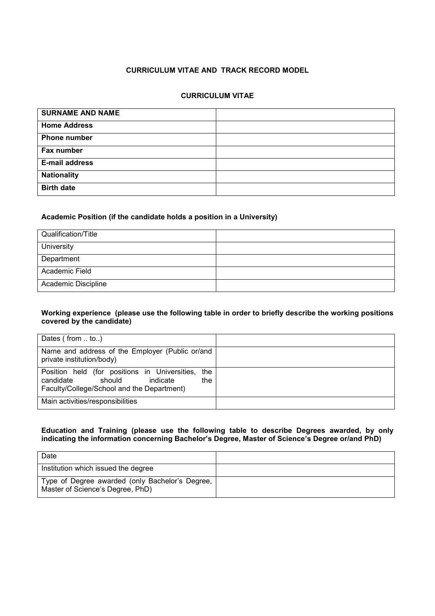# **CURRICULUM VITAE AND TRACK RECORD MODEL**

### **CURRICULUM VITAE**

| <b>SURNAME AND NAME</b> |  |
|-------------------------|--|
| <b>Home Address</b>     |  |
| <b>Phone number</b>     |  |
| Fax number              |  |
| <b>E-mail address</b>   |  |
| <b>Nationality</b>      |  |
| <b>Birth date</b>       |  |

#### **Academic Position (if the candidate holds a position in a University)**

| Qualification/Title |  |
|---------------------|--|
| University          |  |
| Department          |  |
| Academic Field      |  |
| Academic Discipline |  |

#### **Working experience (please use the following table in order to briefly describe the working positions covered by the candidate)**

| Dates $($ from $\ldots$ to $\ldots$ $)$                                                                                                      |  |
|----------------------------------------------------------------------------------------------------------------------------------------------|--|
| Name and address of the Employer (Public or/and<br>private institution/body)                                                                 |  |
| Position held (for positions in Universities,<br>the<br>candidate<br>should<br>indicate<br>the<br>Faculty/College/School and the Department) |  |
| Main activities/responsibilities                                                                                                             |  |

### **Education and Training (please use the following table to describe Degrees awarded, by only**  indicating the information concerning Bachelor's Degree, Master of Science's Degree or/and PhD)

| Date                                                                                |  |
|-------------------------------------------------------------------------------------|--|
| Institution which issued the degree                                                 |  |
| Type of Degree awarded (only Bachelor's Degree,<br>Master of Science's Degree, PhD) |  |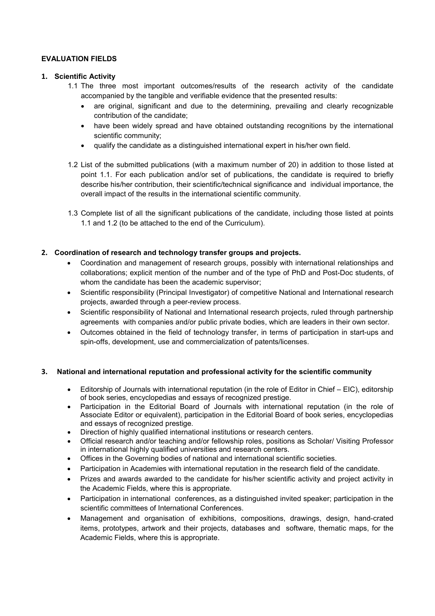### **EVALUATION FIELDS**

#### **1. Scientific Activity**

- 1.1 The three most important outcomes/results of the research activity of the candidate accompanied by the tangible and verifiable evidence that the presented results:
	- are original, significant and due to the determining, prevailing and clearly recognizable contribution of the candidate;
	- have been widely spread and have obtained outstanding recognitions by the international scientific community;
	- qualify the candidate as a distinguished international expert in his/her own field.
- 1.2 List of the submitted publications (with a maximum number of 20) in addition to those listed at point 1.1. For each publication and/or set of publications, the candidate is required to briefly describe his/her contribution, their scientific/technical significance and individual importance, the overall impact of the results in the international scientific community.
- 1.3 Complete list of all the significant publications of the candidate, including those listed at points 1.1 and 1.2 (to be attached to the end of the Curriculum).

#### **2. Coordination of research and technology transfer groups and projects.**

- Coordination and management of research groups, possibly with international relationships and collaborations; explicit mention of the number and of the type of PhD and Post-Doc students, of whom the candidate has been the academic supervisor;
- Scientific responsibility (Principal Investigator) of competitive National and International research projects, awarded through a peer-review process.
- Scientific responsibility of National and International research projects, ruled through partnership agreements with companies and/or public private bodies, which are leaders in their own sector.
- Outcomes obtained in the field of technology transfer, in terms of participation in start-ups and spin-offs, development, use and commercialization of patents/licenses.

#### **3. National and international reputation and professional activity for the scientific community**

- Editorship of Journals with international reputation (in the role of Editor in Chief EIC), editorship of book series, encyclopedias and essays of recognized prestige.
- Participation in the Editorial Board of Journals with international reputation (in the role of Associate Editor or equivalent), participation in the Editorial Board of book series, encyclopedias and essays of recognized prestige.
- Direction of highly qualified international institutions or research centers.
- Official research and/or teaching and/or fellowship roles, positions as Scholar/ Visiting Professor in international highly qualified universities and research centers.
- Offices in the Governing bodies of national and international scientific societies.
- Participation in Academies with international reputation in the research field of the candidate.
- Prizes and awards awarded to the candidate for his/her scientific activity and project activity in the Academic Fields, where this is appropriate.
- Participation in international conferences, as a distinguished invited speaker; participation in the scientific committees of International Conferences.
- Management and organisation of exhibitions, compositions, drawings, design, hand-crated items, prototypes, artwork and their projects, databases and software, thematic maps, for the Academic Fields, where this is appropriate.